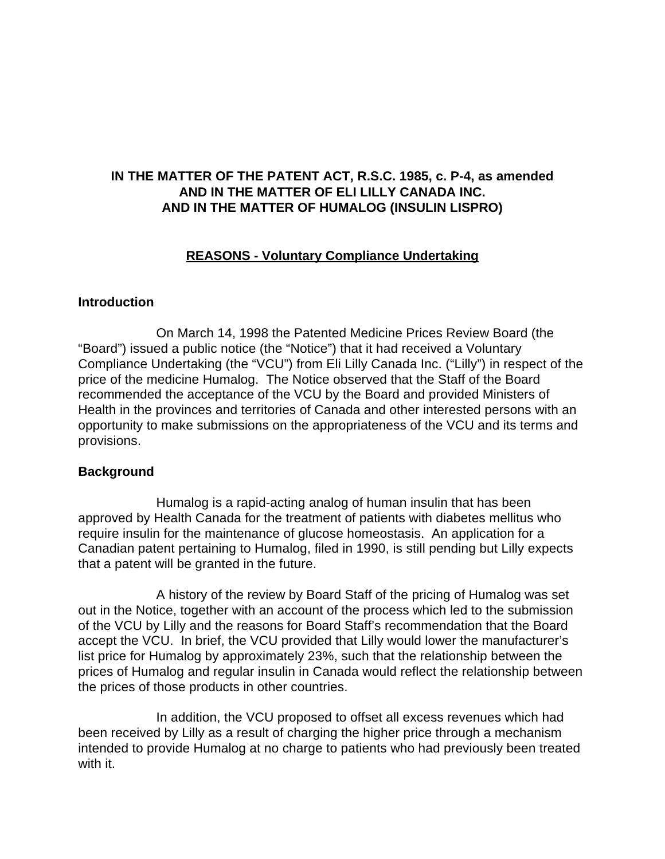# **IN THE MATTER OF THE PATENT ACT, R.S.C. 1985, c. P-4, as amended AND IN THE MATTER OF ELI LILLY CANADA INC. AND IN THE MATTER OF HUMALOG (INSULIN LISPRO)**

## **REASONS - Voluntary Compliance Undertaking**

## **Introduction**

On March 14, 1998 the Patented Medicine Prices Review Board (the "Board") issued a public notice (the "Notice") that it had received a Voluntary Compliance Undertaking (the "VCU") from Eli Lilly Canada Inc. ("Lilly") in respect of the price of the medicine Humalog. The Notice observed that the Staff of the Board recommended the acceptance of the VCU by the Board and provided Ministers of Health in the provinces and territories of Canada and other interested persons with an opportunity to make submissions on the appropriateness of the VCU and its terms and provisions.

#### **Background**

Humalog is a rapid-acting analog of human insulin that has been approved by Health Canada for the treatment of patients with diabetes mellitus who require insulin for the maintenance of glucose homeostasis. An application for a Canadian patent pertaining to Humalog, filed in 1990, is still pending but Lilly expects that a patent will be granted in the future.

A history of the review by Board Staff of the pricing of Humalog was set out in the Notice, together with an account of the process which led to the submission of the VCU by Lilly and the reasons for Board Staff's recommendation that the Board accept the VCU. In brief, the VCU provided that Lilly would lower the manufacturer's list price for Humalog by approximately 23%, such that the relationship between the prices of Humalog and regular insulin in Canada would reflect the relationship between the prices of those products in other countries.

In addition, the VCU proposed to offset all excess revenues which had been received by Lilly as a result of charging the higher price through a mechanism intended to provide Humalog at no charge to patients who had previously been treated with it.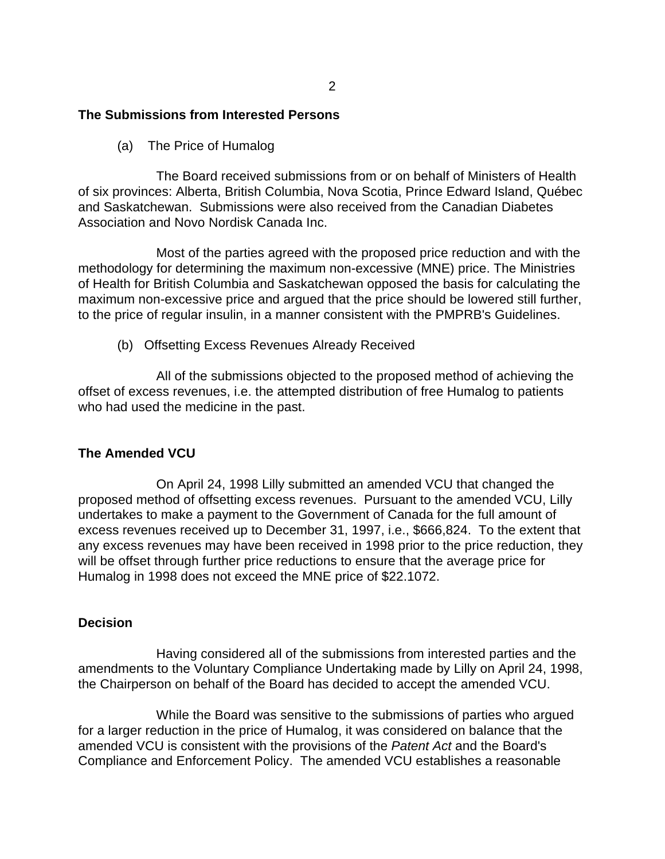## **The Submissions from Interested Persons**

(a) The Price of Humalog

The Board received submissions from or on behalf of Ministers of Health of six provinces: Alberta, British Columbia, Nova Scotia, Prince Edward Island, Québec and Saskatchewan. Submissions were also received from the Canadian Diabetes Association and Novo Nordisk Canada Inc.

Most of the parties agreed with the proposed price reduction and with the methodology for determining the maximum non-excessive (MNE) price. The Ministries of Health for British Columbia and Saskatchewan opposed the basis for calculating the maximum non-excessive price and argued that the price should be lowered still further, to the price of regular insulin, in a manner consistent with the PMPRB's Guidelines.

(b) Offsetting Excess Revenues Already Received

All of the submissions objected to the proposed method of achieving the offset of excess revenues, i.e. the attempted distribution of free Humalog to patients who had used the medicine in the past.

#### **The Amended VCU**

On April 24, 1998 Lilly submitted an amended VCU that changed the proposed method of offsetting excess revenues. Pursuant to the amended VCU, Lilly undertakes to make a payment to the Government of Canada for the full amount of excess revenues received up to December 31, 1997, i.e., \$666,824. To the extent that any excess revenues may have been received in 1998 prior to the price reduction, they will be offset through further price reductions to ensure that the average price for Humalog in 1998 does not exceed the MNE price of \$22.1072.

#### **Decision**

Having considered all of the submissions from interested parties and the amendments to the Voluntary Compliance Undertaking made by Lilly on April 24, 1998, the Chairperson on behalf of the Board has decided to accept the amended VCU.

While the Board was sensitive to the submissions of parties who argued for a larger reduction in the price of Humalog, it was considered on balance that the amended VCU is consistent with the provisions of the *Patent Act* and the Board's Compliance and Enforcement Policy. The amended VCU establishes a reasonable